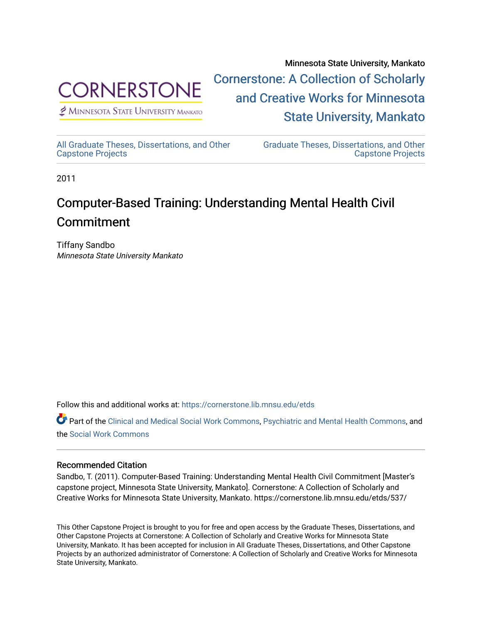

 $<sup>2</sup>$  Minnesota State University Mankato</sup>

Minnesota State University, Mankato [Cornerstone: A Collection of Scholarly](https://cornerstone.lib.mnsu.edu/)  [and Creative Works for Minnesota](https://cornerstone.lib.mnsu.edu/)  [State University, Mankato](https://cornerstone.lib.mnsu.edu/) 

[All Graduate Theses, Dissertations, and Other](https://cornerstone.lib.mnsu.edu/etds)  [Capstone Projects](https://cornerstone.lib.mnsu.edu/etds) 

[Graduate Theses, Dissertations, and Other](https://cornerstone.lib.mnsu.edu/theses_dissertations-capstone)  [Capstone Projects](https://cornerstone.lib.mnsu.edu/theses_dissertations-capstone) 

2011

### Computer-Based Training: Understanding Mental Health Civil Commitment

Tiffany Sandbo Minnesota State University Mankato

Follow this and additional works at: [https://cornerstone.lib.mnsu.edu/etds](https://cornerstone.lib.mnsu.edu/etds?utm_source=cornerstone.lib.mnsu.edu%2Fetds%2F537&utm_medium=PDF&utm_campaign=PDFCoverPages) 

Part of the [Clinical and Medical Social Work Commons,](http://network.bepress.com/hgg/discipline/712?utm_source=cornerstone.lib.mnsu.edu%2Fetds%2F537&utm_medium=PDF&utm_campaign=PDFCoverPages) [Psychiatric and Mental Health Commons,](http://network.bepress.com/hgg/discipline/711?utm_source=cornerstone.lib.mnsu.edu%2Fetds%2F537&utm_medium=PDF&utm_campaign=PDFCoverPages) and the [Social Work Commons](http://network.bepress.com/hgg/discipline/713?utm_source=cornerstone.lib.mnsu.edu%2Fetds%2F537&utm_medium=PDF&utm_campaign=PDFCoverPages) 

### Recommended Citation

Sandbo, T. (2011). Computer-Based Training: Understanding Mental Health Civil Commitment [Master's capstone project, Minnesota State University, Mankato]. Cornerstone: A Collection of Scholarly and Creative Works for Minnesota State University, Mankato. https://cornerstone.lib.mnsu.edu/etds/537/

This Other Capstone Project is brought to you for free and open access by the Graduate Theses, Dissertations, and Other Capstone Projects at Cornerstone: A Collection of Scholarly and Creative Works for Minnesota State University, Mankato. It has been accepted for inclusion in All Graduate Theses, Dissertations, and Other Capstone Projects by an authorized administrator of Cornerstone: A Collection of Scholarly and Creative Works for Minnesota State University, Mankato.